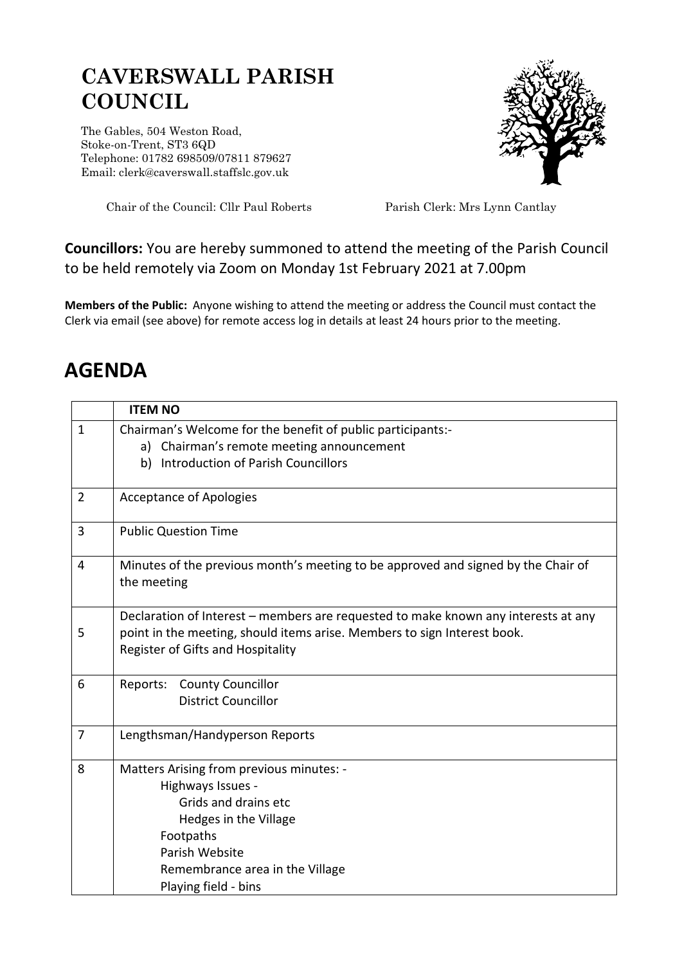## **CAVERSWALL PARISH COUNCIL**

The Gables, 504 Weston Road, Stoke-on-Trent, ST3 6QD Telephone: 01782 698509/07811 879627 Email: clerk@caverswall.staffslc.gov.uk



Chair of the Council: Cllr Paul Roberts Parish Clerk: Mrs Lynn Cantlay

## **Councillors:** You are hereby summoned to attend the meeting of the Parish Council to be held remotely via Zoom on Monday 1st February 2021 at 7.00pm

**Members of the Public:** Anyone wishing to attend the meeting or address the Council must contact the Clerk via email (see above) for remote access log in details at least 24 hours prior to the meeting.

## **AGENDA**

|                | <b>ITEM NO</b>                                                                                                                                                                                      |
|----------------|-----------------------------------------------------------------------------------------------------------------------------------------------------------------------------------------------------|
| $\mathbf{1}$   | Chairman's Welcome for the benefit of public participants:-                                                                                                                                         |
|                | Chairman's remote meeting announcement<br>a)                                                                                                                                                        |
|                | Introduction of Parish Councillors<br>b)                                                                                                                                                            |
|                |                                                                                                                                                                                                     |
| $\overline{2}$ | <b>Acceptance of Apologies</b>                                                                                                                                                                      |
| 3              | <b>Public Question Time</b>                                                                                                                                                                         |
| 4              | Minutes of the previous month's meeting to be approved and signed by the Chair of<br>the meeting                                                                                                    |
| 5              | Declaration of Interest – members are requested to make known any interests at any<br>point in the meeting, should items arise. Members to sign Interest book.<br>Register of Gifts and Hospitality |
| 6              | Reports:<br><b>County Councillor</b>                                                                                                                                                                |
|                | <b>District Councillor</b>                                                                                                                                                                          |
|                |                                                                                                                                                                                                     |
| $\overline{7}$ | Lengthsman/Handyperson Reports                                                                                                                                                                      |
| 8              | Matters Arising from previous minutes: -                                                                                                                                                            |
|                | Highways Issues -                                                                                                                                                                                   |
|                | Grids and drains etc                                                                                                                                                                                |
|                | Hedges in the Village                                                                                                                                                                               |
|                | Footpaths                                                                                                                                                                                           |
|                | Parish Website                                                                                                                                                                                      |
|                | Remembrance area in the Village                                                                                                                                                                     |
|                | Playing field - bins                                                                                                                                                                                |